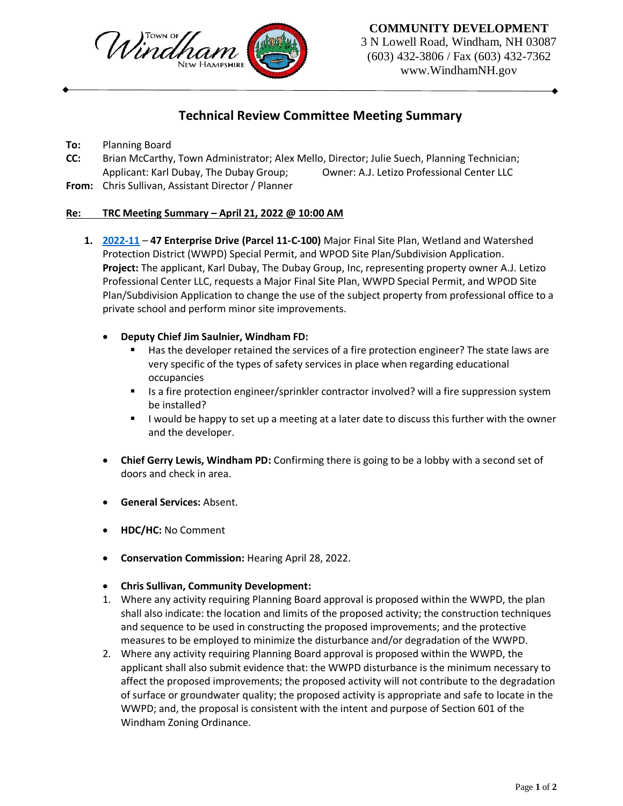

**COMMUNITY DEVELOPMENT**

3 N Lowell Road, Windham, NH 03087 (603) 432-3806 / Fax (603) 432-7362 www.WindhamNH.gov

## **Technical Review Committee Meeting Summary**

**To:** Planning Board

- **CC:** Brian McCarthy, Town Administrator; Alex Mello, Director; Julie Suech, Planning Technician; Applicant: Karl Dubay, The Dubay Group; Owner: A.J. Letizo Professional Center LLC
- **From:** Chris Sullivan, Assistant Director / Planner

## **Re: TRC Meeting Summary – April 21, 2022 @ 10:00 AM**

- **1. [2022-11](https://windhamnh.gov/DocumentCenter/Index/953) 47 Enterprise Drive (Parcel 11-C-100)** Major Final Site Plan, Wetland and Watershed Protection District (WWPD) Special Permit, and WPOD Site Plan/Subdivision Application. **Project:** The applicant, Karl Dubay, The Dubay Group, Inc, representing property owner A.J. Letizo Professional Center LLC, requests a Major Final Site Plan, WWPD Special Permit, and WPOD Site Plan/Subdivision Application to change the use of the subject property from professional office to a private school and perform minor site improvements.
	- **Deputy Chief Jim Saulnier, Windham FD:** 
		- **Has the developer retained the services of a fire protection engineer? The state laws are** very specific of the types of safety services in place when regarding educational occupancies
		- Is a fire protection engineer/sprinkler contractor involved? will a fire suppression system be installed?
		- **I** would be happy to set up a meeting at a later date to discuss this further with the owner and the developer.
	- **Chief Gerry Lewis, Windham PD:** Confirming there is going to be a lobby with a second set of doors and check in area.
	- **General Services:** Absent.
	- **HDC/HC:** No Comment
	- **Conservation Commission:** Hearing April 28, 2022.
	- **Chris Sullivan, Community Development:**
	- 1. Where any activity requiring Planning Board approval is proposed within the WWPD, the plan shall also indicate: the location and limits of the proposed activity; the construction techniques and sequence to be used in constructing the proposed improvements; and the protective measures to be employed to minimize the disturbance and/or degradation of the WWPD.
	- 2. Where any activity requiring Planning Board approval is proposed within the WWPD, the applicant shall also submit evidence that: the WWPD disturbance is the minimum necessary to affect the proposed improvements; the proposed activity will not contribute to the degradation of surface or groundwater quality; the proposed activity is appropriate and safe to locate in the WWPD; and, the proposal is consistent with the intent and purpose of Section 601 of the Windham Zoning Ordinance.